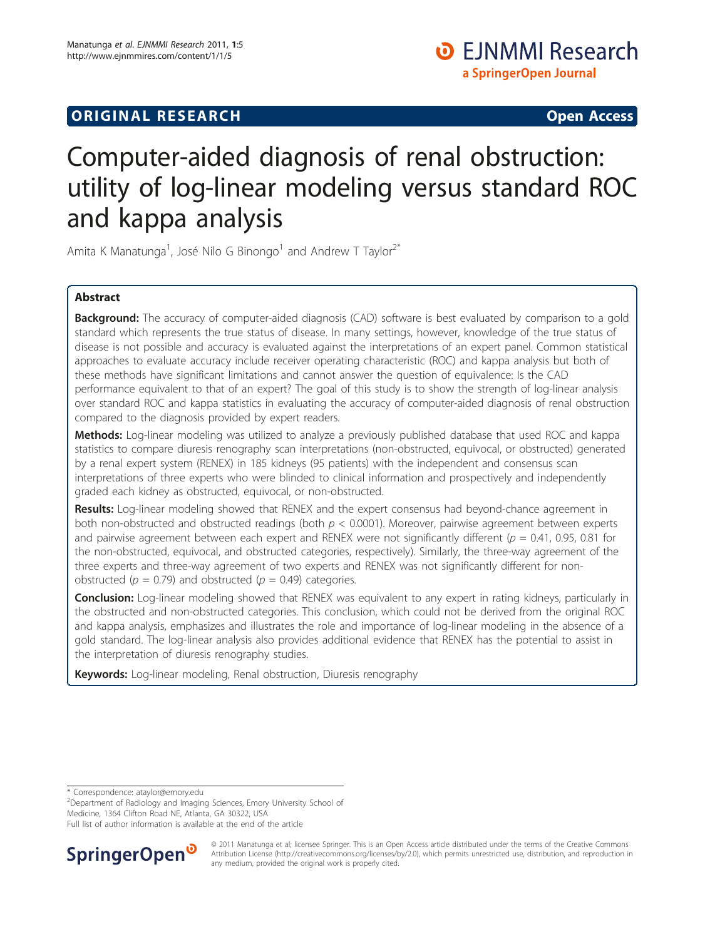# Computer-aided diagnosis of renal obstruction: utility of log-linear modeling versus standard ROC and kappa analysis

Amita K Manatunga<sup>1</sup>, José Nilo G Binongo<sup>1</sup> and Andrew T Taylor<sup>2\*</sup>

# Abstract

**Background:** The accuracy of computer-aided diagnosis (CAD) software is best evaluated by comparison to a gold standard which represents the true status of disease. In many settings, however, knowledge of the true status of disease is not possible and accuracy is evaluated against the interpretations of an expert panel. Common statistical approaches to evaluate accuracy include receiver operating characteristic (ROC) and kappa analysis but both of these methods have significant limitations and cannot answer the question of equivalence: Is the CAD performance equivalent to that of an expert? The goal of this study is to show the strength of log-linear analysis over standard ROC and kappa statistics in evaluating the accuracy of computer-aided diagnosis of renal obstruction compared to the diagnosis provided by expert readers.

Methods: Log-linear modeling was utilized to analyze a previously published database that used ROC and kappa statistics to compare diuresis renography scan interpretations (non-obstructed, equivocal, or obstructed) generated by a renal expert system (RENEX) in 185 kidneys (95 patients) with the independent and consensus scan interpretations of three experts who were blinded to clinical information and prospectively and independently graded each kidney as obstructed, equivocal, or non-obstructed.

Results: Log-linear modeling showed that RENEX and the expert consensus had beyond-chance agreement in both non-obstructed and obstructed readings (both  $p < 0.0001$ ). Moreover, pairwise agreement between experts and pairwise agreement between each expert and RENEX were not significantly different ( $p = 0.41$ , 0.95, 0.81 for the non-obstructed, equivocal, and obstructed categories, respectively). Similarly, the three-way agreement of the three experts and three-way agreement of two experts and RENEX was not significantly different for nonobstructed ( $p = 0.79$ ) and obstructed ( $p = 0.49$ ) categories.

Conclusion: Log-linear modeling showed that RENEX was equivalent to any expert in rating kidneys, particularly in the obstructed and non-obstructed categories. This conclusion, which could not be derived from the original ROC and kappa analysis, emphasizes and illustrates the role and importance of log-linear modeling in the absence of a gold standard. The log-linear analysis also provides additional evidence that RENEX has the potential to assist in the interpretation of diuresis renography studies.

Keywords: Log-linear modeling, Renal obstruction, Diuresis renography

<sup>2</sup>Department of Radiology and Imaging Sciences, Emory University School of Medicine, 1364 Clifton Road NE, Atlanta, GA 30322, USA

Full list of author information is available at the end of the article



© 2011 Manatunga et al; licensee Springer. This is an Open Access article distributed under the terms of the Creative Commons Attribution License [\(http://creativecommons.org/licenses/by/2.0](http://creativecommons.org/licenses/by/2.0)), which permits unrestricted use, distribution, and reproduction in any medium, provided the original work is properly cited.

<sup>\*</sup> Correspondence: [ataylor@emory.edu](mailto:ataylor@emory.edu)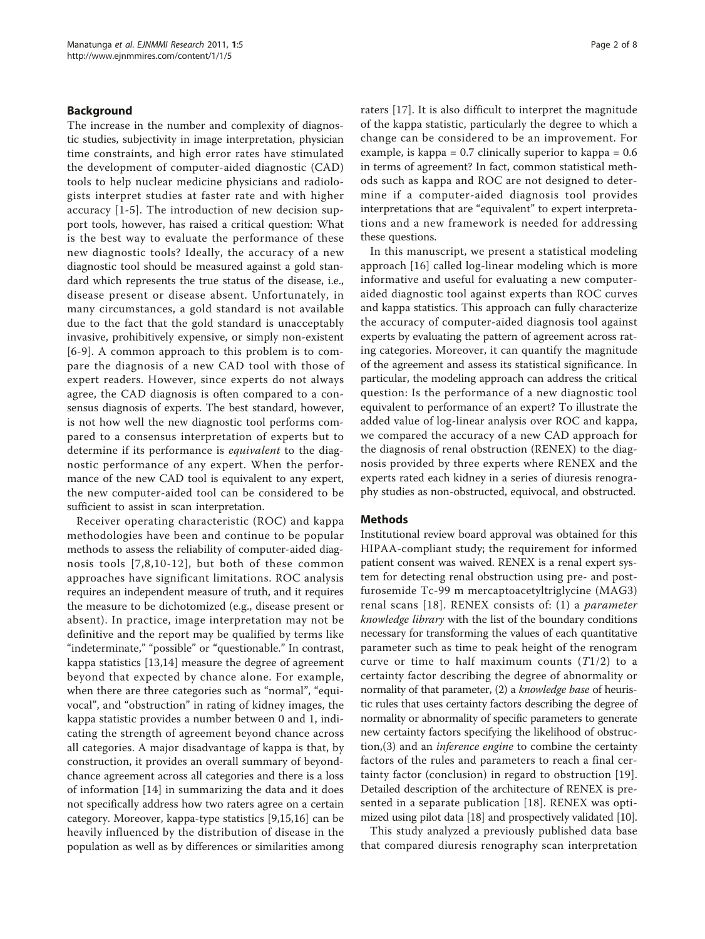## Background

The increase in the number and complexity of diagnostic studies, subjectivity in image interpretation, physician time constraints, and high error rates have stimulated the development of computer-aided diagnostic (CAD) tools to help nuclear medicine physicians and radiologists interpret studies at faster rate and with higher accuracy [[1-5](#page-6-0)]. The introduction of new decision support tools, however, has raised a critical question: What is the best way to evaluate the performance of these new diagnostic tools? Ideally, the accuracy of a new diagnostic tool should be measured against a gold standard which represents the true status of the disease, i.e., disease present or disease absent. Unfortunately, in many circumstances, a gold standard is not available due to the fact that the gold standard is unacceptably invasive, prohibitively expensive, or simply non-existent [[6](#page-6-0)-[9\]](#page-7-0). A common approach to this problem is to compare the diagnosis of a new CAD tool with those of expert readers. However, since experts do not always agree, the CAD diagnosis is often compared to a consensus diagnosis of experts. The best standard, however, is not how well the new diagnostic tool performs compared to a consensus interpretation of experts but to determine if its performance is equivalent to the diagnostic performance of any expert. When the performance of the new CAD tool is equivalent to any expert, the new computer-aided tool can be considered to be sufficient to assist in scan interpretation.

Receiver operating characteristic (ROC) and kappa methodologies have been and continue to be popular methods to assess the reliability of computer-aided diagnosis tools [[7,](#page-6-0)[8,10-12\]](#page-7-0), but both of these common approaches have significant limitations. ROC analysis requires an independent measure of truth, and it requires the measure to be dichotomized (e.g., disease present or absent). In practice, image interpretation may not be definitive and the report may be qualified by terms like "indeterminate," "possible" or "questionable." In contrast, kappa statistics [\[13,14](#page-7-0)] measure the degree of agreement beyond that expected by chance alone. For example, when there are three categories such as "normal", "equivocal", and "obstruction" in rating of kidney images, the kappa statistic provides a number between 0 and 1, indicating the strength of agreement beyond chance across all categories. A major disadvantage of kappa is that, by construction, it provides an overall summary of beyondchance agreement across all categories and there is a loss of information [[14\]](#page-7-0) in summarizing the data and it does not specifically address how two raters agree on a certain category. Moreover, kappa-type statistics [\[9,15,16](#page-7-0)] can be heavily influenced by the distribution of disease in the population as well as by differences or similarities among raters [[17\]](#page-7-0). It is also difficult to interpret the magnitude of the kappa statistic, particularly the degree to which a change can be considered to be an improvement. For example, is kappa =  $0.7$  clinically superior to kappa =  $0.6$ in terms of agreement? In fact, common statistical methods such as kappa and ROC are not designed to determine if a computer-aided diagnosis tool provides interpretations that are "equivalent" to expert interpretations and a new framework is needed for addressing these questions.

In this manuscript, we present a statistical modeling approach [[16\]](#page-7-0) called log-linear modeling which is more informative and useful for evaluating a new computeraided diagnostic tool against experts than ROC curves and kappa statistics. This approach can fully characterize the accuracy of computer-aided diagnosis tool against experts by evaluating the pattern of agreement across rating categories. Moreover, it can quantify the magnitude of the agreement and assess its statistical significance. In particular, the modeling approach can address the critical question: Is the performance of a new diagnostic tool equivalent to performance of an expert? To illustrate the added value of log-linear analysis over ROC and kappa, we compared the accuracy of a new CAD approach for the diagnosis of renal obstruction (RENEX) to the diagnosis provided by three experts where RENEX and the experts rated each kidney in a series of diuresis renography studies as non-obstructed, equivocal, and obstructed.

#### Methods

Institutional review board approval was obtained for this HIPAA-compliant study; the requirement for informed patient consent was waived. RENEX is a renal expert system for detecting renal obstruction using pre- and postfurosemide Tc-99 m mercaptoacetyltriglycine (MAG3) renal scans [[18](#page-7-0)]. RENEX consists of: (1) a parameter knowledge library with the list of the boundary conditions necessary for transforming the values of each quantitative parameter such as time to peak height of the renogram curve or time to half maximum counts  $(T1/2)$  to a certainty factor describing the degree of abnormality or normality of that parameter, (2) a knowledge base of heuristic rules that uses certainty factors describing the degree of normality or abnormality of specific parameters to generate new certainty factors specifying the likelihood of obstruction, (3) and an *inference engine* to combine the certainty factors of the rules and parameters to reach a final certainty factor (conclusion) in regard to obstruction [[19](#page-7-0)]. Detailed description of the architecture of RENEX is presented in a separate publication [[18\]](#page-7-0). RENEX was optimized using pilot data [\[18\]](#page-7-0) and prospectively validated [\[10](#page-7-0)].

This study analyzed a previously published data base that compared diuresis renography scan interpretation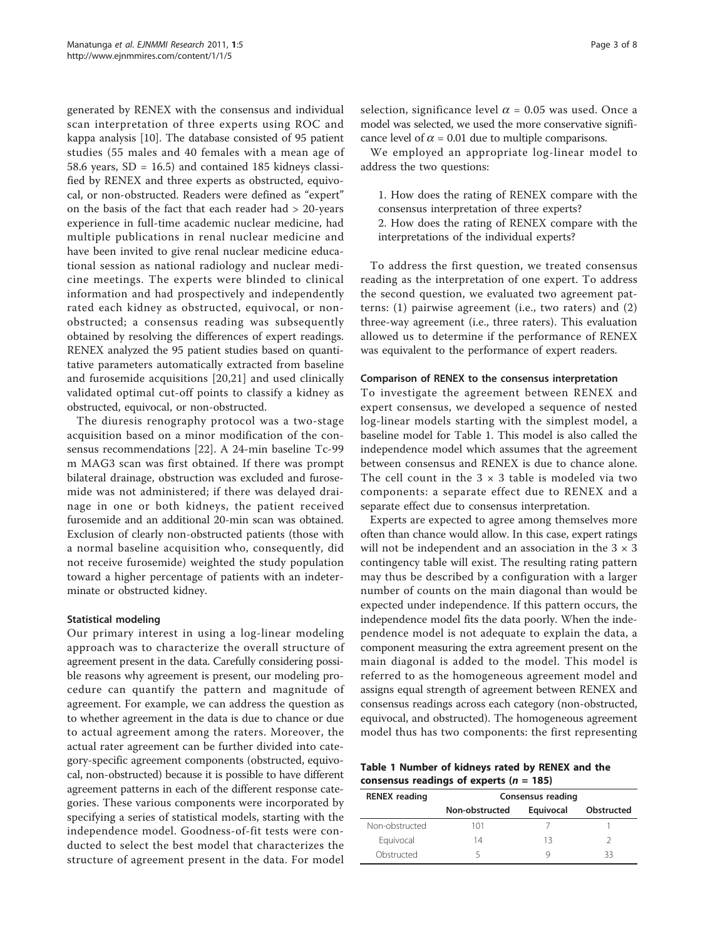<span id="page-2-0"></span>generated by RENEX with the consensus and individual scan interpretation of three experts using ROC and kappa analysis [\[10](#page-7-0)]. The database consisted of 95 patient studies (55 males and 40 females with a mean age of 58.6 years, SD = 16.5) and contained 185 kidneys classified by RENEX and three experts as obstructed, equivocal, or non-obstructed. Readers were defined as "expert" on the basis of the fact that each reader had > 20-years experience in full-time academic nuclear medicine, had multiple publications in renal nuclear medicine and have been invited to give renal nuclear medicine educational session as national radiology and nuclear medicine meetings. The experts were blinded to clinical information and had prospectively and independently rated each kidney as obstructed, equivocal, or nonobstructed; a consensus reading was subsequently obtained by resolving the differences of expert readings. RENEX analyzed the 95 patient studies based on quantitative parameters automatically extracted from baseline and furosemide acquisitions [[20,21](#page-7-0)] and used clinically validated optimal cut-off points to classify a kidney as obstructed, equivocal, or non-obstructed.

The diuresis renography protocol was a two-stage acquisition based on a minor modification of the consensus recommendations [\[22](#page-7-0)]. A 24-min baseline Tc-99 m MAG3 scan was first obtained. If there was prompt bilateral drainage, obstruction was excluded and furosemide was not administered; if there was delayed drainage in one or both kidneys, the patient received furosemide and an additional 20-min scan was obtained. Exclusion of clearly non-obstructed patients (those with a normal baseline acquisition who, consequently, did not receive furosemide) weighted the study population toward a higher percentage of patients with an indeterminate or obstructed kidney.

## Statistical modeling

Our primary interest in using a log-linear modeling approach was to characterize the overall structure of agreement present in the data. Carefully considering possible reasons why agreement is present, our modeling procedure can quantify the pattern and magnitude of agreement. For example, we can address the question as to whether agreement in the data is due to chance or due to actual agreement among the raters. Moreover, the actual rater agreement can be further divided into category-specific agreement components (obstructed, equivocal, non-obstructed) because it is possible to have different agreement patterns in each of the different response categories. These various components were incorporated by specifying a series of statistical models, starting with the independence model. Goodness-of-fit tests were conducted to select the best model that characterizes the structure of agreement present in the data. For model

selection, significance level  $\alpha$  = 0.05 was used. Once a model was selected, we used the more conservative significance level of  $\alpha$  = 0.01 due to multiple comparisons.

We employed an appropriate log-linear model to address the two questions:

- 1. How does the rating of RENEX compare with the consensus interpretation of three experts?
- 2. How does the rating of RENEX compare with the interpretations of the individual experts?

To address the first question, we treated consensus reading as the interpretation of one expert. To address the second question, we evaluated two agreement patterns: (1) pairwise agreement (i.e., two raters) and (2) three-way agreement (i.e., three raters). This evaluation allowed us to determine if the performance of RENEX was equivalent to the performance of expert readers.

## Comparison of RENEX to the consensus interpretation

To investigate the agreement between RENEX and expert consensus, we developed a sequence of nested log-linear models starting with the simplest model, a baseline model for Table 1. This model is also called the independence model which assumes that the agreement between consensus and RENEX is due to chance alone. The cell count in the  $3 \times 3$  table is modeled via two components: a separate effect due to RENEX and a separate effect due to consensus interpretation.

Experts are expected to agree among themselves more often than chance would allow. In this case, expert ratings will not be independent and an association in the  $3 \times 3$ contingency table will exist. The resulting rating pattern may thus be described by a configuration with a larger number of counts on the main diagonal than would be expected under independence. If this pattern occurs, the independence model fits the data poorly. When the independence model is not adequate to explain the data, a component measuring the extra agreement present on the main diagonal is added to the model. This model is referred to as the homogeneous agreement model and assigns equal strength of agreement between RENEX and consensus readings across each category (non-obstructed, equivocal, and obstructed). The homogeneous agreement model thus has two components: the first representing

Table 1 Number of kidneys rated by RENEX and the consensus readings of experts  $(n = 185)$ 

| Consensus reading |           |            |  |  |
|-------------------|-----------|------------|--|--|
| Non-obstructed    | Equivocal | Obstructed |  |  |
| 101               |           |            |  |  |
| 14                | 13        |            |  |  |
|                   |           | २२         |  |  |
|                   |           |            |  |  |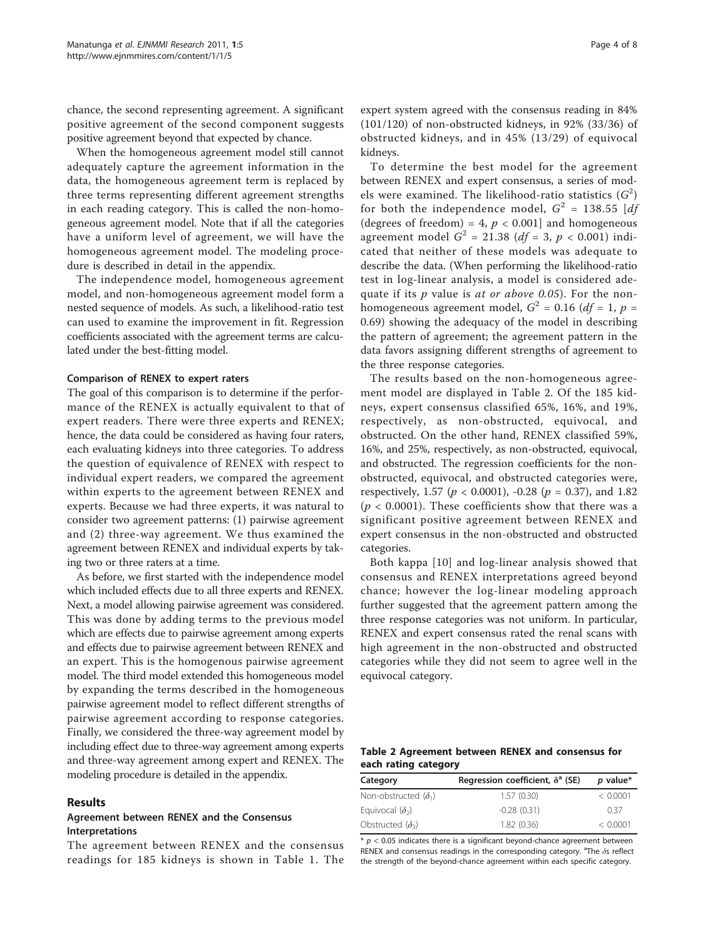chance, the second representing agreement. A significant positive agreement of the second component suggests positive agreement beyond that expected by chance.

When the homogeneous agreement model still cannot adequately capture the agreement information in the data, the homogeneous agreement term is replaced by three terms representing different agreement strengths in each reading category. This is called the non-homogeneous agreement model. Note that if all the categories have a uniform level of agreement, we will have the homogeneous agreement model. The modeling procedure is described in detail in the appendix.

The independence model, homogeneous agreement model, and non-homogeneous agreement model form a nested sequence of models. As such, a likelihood-ratio test can used to examine the improvement in fit. Regression coefficients associated with the agreement terms are calculated under the best-fitting model.

## Comparison of RENEX to expert raters

The goal of this comparison is to determine if the performance of the RENEX is actually equivalent to that of expert readers. There were three experts and RENEX; hence, the data could be considered as having four raters, each evaluating kidneys into three categories. To address the question of equivalence of RENEX with respect to individual expert readers, we compared the agreement within experts to the agreement between RENEX and experts. Because we had three experts, it was natural to consider two agreement patterns: (1) pairwise agreement and (2) three-way agreement. We thus examined the agreement between RENEX and individual experts by taking two or three raters at a time.

As before, we first started with the independence model which included effects due to all three experts and RENEX. Next, a model allowing pairwise agreement was considered. This was done by adding terms to the previous model which are effects due to pairwise agreement among experts and effects due to pairwise agreement between RENEX and an expert. This is the homogenous pairwise agreement model. The third model extended this homogeneous model by expanding the terms described in the homogeneous pairwise agreement model to reflect different strengths of pairwise agreement according to response categories. Finally, we considered the three-way agreement model by including effect due to three-way agreement among experts and three-way agreement among expert and RENEX. The modeling procedure is detailed in the appendix.

## Results

## Agreement between RENEX and the Consensus Interpretations

The agreement between RENEX and the consensus readings for 185 kidneys is shown in Table [1.](#page-2-0) The

expert system agreed with the consensus reading in 84% (101/120) of non-obstructed kidneys, in 92% (33/36) of obstructed kidneys, and in 45% (13/29) of equivocal kidneys.

To determine the best model for the agreement between RENEX and expert consensus, a series of models were examined. The likelihood-ratio statistics  $(G^2)$ for both the independence model,  $G^2 = 138.55$  [df (degrees of freedom) = 4,  $p < 0.001$ ] and homogeneous agreement model  $G^2 = 21.38$  (*df* = 3, *p* < 0.001) indicated that neither of these models was adequate to describe the data. (When performing the likelihood-ratio test in log-linear analysis, a model is considered adequate if its  $p$  value is *at or above 0.05*). For the nonhomogeneous agreement model,  $G^2 = 0.16$  (df = 1, p = 0.69) showing the adequacy of the model in describing the pattern of agreement; the agreement pattern in the data favors assigning different strengths of agreement to the three response categories.

The results based on the non-homogeneous agreement model are displayed in Table 2. Of the 185 kidneys, expert consensus classified 65%, 16%, and 19%, respectively, as non-obstructed, equivocal, and obstructed. On the other hand, RENEX classified 59%, 16%, and 25%, respectively, as non-obstructed, equivocal, and obstructed. The regression coefficients for the nonobstructed, equivocal, and obstructed categories were, respectively, 1.57 ( $p < 0.0001$ ), -0.28 ( $p = 0.37$ ), and 1.82  $(p < 0.0001)$ . These coefficients show that there was a significant positive agreement between RENEX and expert consensus in the non-obstructed and obstructed categories.

Both kappa [[10\]](#page-7-0) and log-linear analysis showed that consensus and RENEX interpretations agreed beyond chance; however the log-linear modeling approach further suggested that the agreement pattern among the three response categories was not uniform. In particular, RENEX and expert consensus rated the renal scans with high agreement in the non-obstructed and obstructed categories while they did not seem to agree well in the equivocal category.

|                      |  | Table 2 Agreement between RENEX and consensus for |  |
|----------------------|--|---------------------------------------------------|--|
| each rating category |  |                                                   |  |

| Category                    | Regression coefficient, $\delta^a$ (SE) | p value* |
|-----------------------------|-----------------------------------------|----------|
| Non-obstructed $(\delta_1)$ | 1.57(0.30)                              | < 0.0001 |
| Equivocal $(\delta_2)$      | $-0.28(0.31)$                           | 0.37     |
| Obstructed $(\delta_3)$     | 1.82(0.36)                              | < 0.0001 |

 $*$   $p$  < 0.05 indicates there is a significant beyond-chance agreement between RENEX and consensus readings in the corresponding category. <sup>a</sup>The  $\delta$ s reflect the strength of the beyond-chance agreement within each specific category.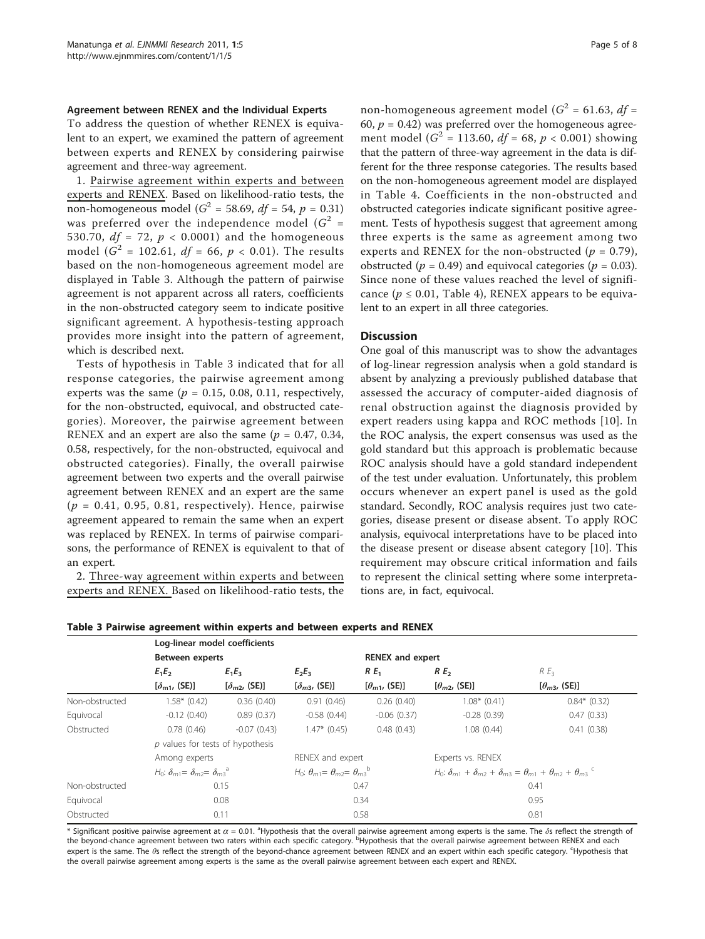## Agreement between RENEX and the Individual Experts

To address the question of whether RENEX is equivalent to an expert, we examined the pattern of agreement between experts and RENEX by considering pairwise agreement and three-way agreement.

1. Pairwise agreement within experts and between experts and RENEX. Based on likelihood-ratio tests, the non-homogeneous model ( $G^2 = 58.69$ ,  $df = 54$ ,  $p = 0.31$ ) was preferred over the independence model ( $G^2$  = 530.70,  $df = 72$ ,  $p < 0.0001$ ) and the homogeneous model ( $G^2 = 102.61$ ,  $df = 66$ ,  $p < 0.01$ ). The results based on the non-homogeneous agreement model are displayed in Table 3. Although the pattern of pairwise agreement is not apparent across all raters, coefficients in the non-obstructed category seem to indicate positive significant agreement. A hypothesis-testing approach provides more insight into the pattern of agreement, which is described next.

Tests of hypothesis in Table 3 indicated that for all response categories, the pairwise agreement among experts was the same ( $p = 0.15, 0.08, 0.11$ , respectively, for the non-obstructed, equivocal, and obstructed categories). Moreover, the pairwise agreement between RENEX and an expert are also the same ( $p = 0.47, 0.34$ , 0.58, respectively, for the non-obstructed, equivocal and obstructed categories). Finally, the overall pairwise agreement between two experts and the overall pairwise agreement between RENEX and an expert are the same  $(p = 0.41, 0.95, 0.81,$  respectively). Hence, pairwise agreement appeared to remain the same when an expert was replaced by RENEX. In terms of pairwise comparisons, the performance of RENEX is equivalent to that of an expert.

2. Three-way agreement within experts and between experts and RENEX. Based on likelihood-ratio tests, the non-homogeneous agreement model ( $G^2 = 61.63$ ,  $df =$ 60,  $p = 0.42$ ) was preferred over the homogeneous agreement model ( $G^2 = 113.60$ ,  $df = 68$ ,  $p < 0.001$ ) showing that the pattern of three-way agreement in the data is different for the three response categories. The results based on the non-homogeneous agreement model are displayed in Table [4.](#page-5-0) Coefficients in the non-obstructed and obstructed categories indicate significant positive agreement. Tests of hypothesis suggest that agreement among three experts is the same as agreement among two experts and RENEX for the non-obstructed ( $p = 0.79$ ), obstructed ( $p = 0.49$ ) and equivocal categories ( $p = 0.03$ ). Since none of these values reached the level of significance ( $p \le 0.01$ , Table [4](#page-5-0)), RENEX appears to be equivalent to an expert in all three categories.

## **Discussion**

One goal of this manuscript was to show the advantages of log-linear regression analysis when a gold standard is absent by analyzing a previously published database that assessed the accuracy of computer-aided diagnosis of renal obstruction against the diagnosis provided by expert readers using kappa and ROC methods [\[10\]](#page-7-0). In the ROC analysis, the expert consensus was used as the gold standard but this approach is problematic because ROC analysis should have a gold standard independent of the test under evaluation. Unfortunately, this problem occurs whenever an expert panel is used as the gold standard. Secondly, ROC analysis requires just two categories, disease present or disease absent. To apply ROC analysis, equivocal interpretations have to be placed into the disease present or disease absent category [[10\]](#page-7-0). This requirement may obscure critical information and fails to represent the clinical setting where some interpretations are, in fact, equivocal.

|                                                                                                                                                    | Log-linear model coefficients      |                        |                                                                                             |                         |                       |                       |  |
|----------------------------------------------------------------------------------------------------------------------------------------------------|------------------------------------|------------------------|---------------------------------------------------------------------------------------------|-------------------------|-----------------------|-----------------------|--|
|                                                                                                                                                    | <b>Between experts</b>             |                        |                                                                                             | <b>RENEX and expert</b> |                       |                       |  |
|                                                                                                                                                    | $E_1E_2$<br>$E_1E_3$               |                        | $R E_1$<br>$E_2E_3$                                                                         |                         | R E <sub>2</sub>      | $R E_3$               |  |
|                                                                                                                                                    | $[\delta_{m1}, (SE)]$              | $[\delta_{m2}$ , (SE)] | $[\delta_{m3},$ (SE)]                                                                       | $[\theta_{m1},$ (SE)]   | $[\theta_{m2},$ (SE)] | $[\theta_{m3},$ (SE)] |  |
| Non-obstructed                                                                                                                                     | $1.58*(0.42)$                      | 0.36(0.40)             | 0.91(0.46)                                                                                  | 0.26(0.40)              | $1.08*(0.41)$         | $0.84*$ (0.32)        |  |
| Equivocal                                                                                                                                          | $-0.12(0.40)$                      | 0.89(0.37)             | $-0.58(0.44)$                                                                               | $-0.06(0.37)$           | $-0.28(0.39)$         | 0.47(0.33)            |  |
| Obstructed                                                                                                                                         | 0.78(0.46)                         | $-0.07(0.43)$          | $1.47*$ (0.45)                                                                              | 0.48(0.43)              | 1.08(0.44)            | 0.41(0.38)            |  |
|                                                                                                                                                    | $p$ values for tests of hypothesis |                        |                                                                                             |                         |                       |                       |  |
|                                                                                                                                                    | Among experts                      |                        | RENEX and expert                                                                            |                         | Experts vs. RENEX     |                       |  |
| H <sub>0</sub> : $\theta_{m1} = \theta_{m2} = \theta_{m3}$ <sup>b</sup><br>H <sub>0</sub> : $\delta_{m1} = \delta_{m2} = \delta_{m3}$ <sup>a</sup> |                                    |                        | $H_0$ : $\delta_{m1} + \delta_{m2} + \delta_{m3} = \theta_{m1} + \theta_{m2} + \theta_{m3}$ |                         |                       |                       |  |
| Non-obstructed                                                                                                                                     | 0.15                               |                        | 0.47                                                                                        |                         | 0.41                  |                       |  |
| Equivocal                                                                                                                                          | 0.08                               |                        |                                                                                             | 0.34                    |                       | 0.95                  |  |
| Obstructed                                                                                                                                         | 0.11                               |                        | 0.58                                                                                        | 0.81                    |                       |                       |  |

Table 3 Pairwise agreement within experts and between experts and RENEX

\* Significant positive pairwise agreement at  $\alpha$  = 0.01. <sup>a</sup>Hypothesis that the overall pairwise agreement among experts is the same. The  $\delta$ s reflect the strength of the beyond-chance agreement between two raters within each specific category. <sup>B</sup>Hypothesis that the overall pairwise agreement between RENEX and each expert is the same. The  $\theta$ s reflect the strength of the beyond-chance agreement between RENEX and an expert within each specific category. <sup>c</sup>Hypothesis that the overall pairwise agreement among experts is the same as the overall pairwise agreement between each expert and RENEX.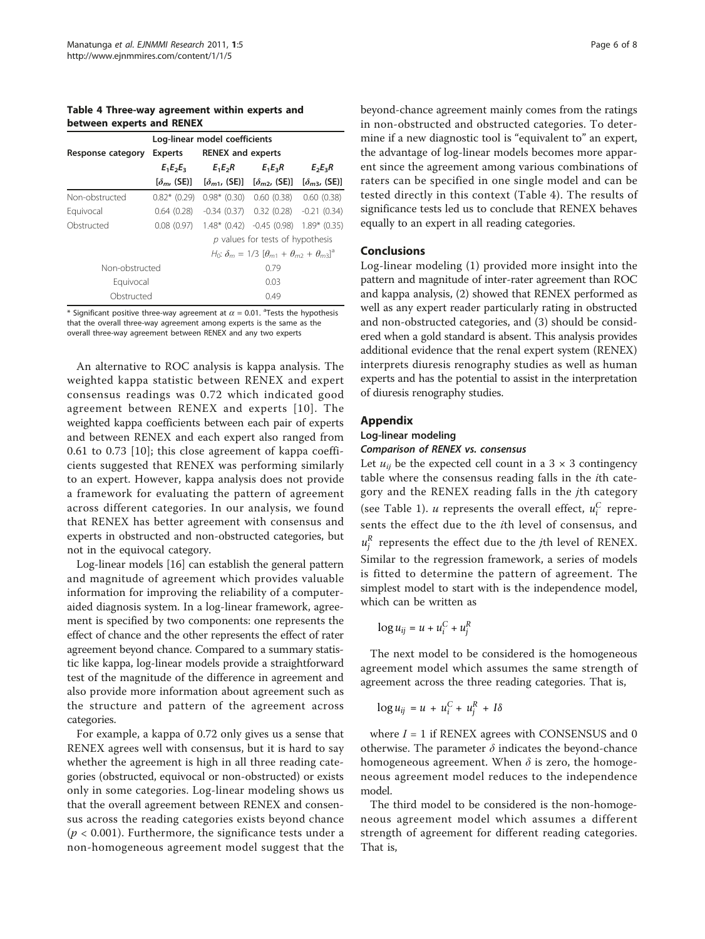<span id="page-5-0"></span>Table 4 Three-way agreement within experts and between experts and RENEX

| Log-linear model coefficients |                |                                                                                                                            |                                          |            |  |  |
|-------------------------------|----------------|----------------------------------------------------------------------------------------------------------------------------|------------------------------------------|------------|--|--|
| Response category             |                | Experts RENEX and experts                                                                                                  |                                          |            |  |  |
|                               | $E_1E_2E_3$    | $E_1E_2R$                                                                                                                  | $E_1E_3R$                                | $E_2E_3R$  |  |  |
|                               |                | $[\delta_{m_l}(\textsf{SE})] = [\delta_{m1_l}(\textsf{SE})] = [\delta_{m2_l}(\textsf{SE})] = [\delta_{m3_l}(\textsf{SE})]$ |                                          |            |  |  |
| Non-obstructed                | $0.82*$ (0.29) |                                                                                                                            | $0.98*$ $(0.30)$ $0.60$ $(0.38)$         | 0.60(0.38) |  |  |
| Equivocal                     | 0.64(0.28)     |                                                                                                                            | $-0.34(0.37)$ $0.32(0.28)$ $-0.21(0.34)$ |            |  |  |
| Obstructed                    |                | $0.08(0.97)$ $1.48*(0.42)$ $-0.45(0.98)$ $1.89*(0.35)$                                                                     |                                          |            |  |  |
|                               |                |                                                                                                                            | $p$ values for tests of hypothesis       |            |  |  |
|                               |                | $H_0$ : $\delta_m = 1/3 \left[ \theta_{m1} + \theta_{m2} + \theta_{m3} \right]$ <sup>a</sup>                               |                                          |            |  |  |
| Non-obstructed                | 0.79           |                                                                                                                            |                                          |            |  |  |
| Equivocal                     |                |                                                                                                                            | 0.03                                     |            |  |  |
| Obstructed                    |                | 0.49                                                                                                                       |                                          |            |  |  |

\* Significant positive three-way agreement at  $\alpha$  = 0.01. <sup>a</sup> Tests the hypothesis that the overall three-way agreement among experts is the same as the overall three-way agreement between RENEX and any two experts

An alternative to ROC analysis is kappa analysis. The weighted kappa statistic between RENEX and expert consensus readings was 0.72 which indicated good agreement between RENEX and experts [[10](#page-7-0)]. The weighted kappa coefficients between each pair of experts and between RENEX and each expert also ranged from 0.61 to 0.73 [[10\]](#page-7-0); this close agreement of kappa coefficients suggested that RENEX was performing similarly to an expert. However, kappa analysis does not provide a framework for evaluating the pattern of agreement across different categories. In our analysis, we found that RENEX has better agreement with consensus and experts in obstructed and non-obstructed categories, but not in the equivocal category.

Log-linear models [[16\]](#page-7-0) can establish the general pattern and magnitude of agreement which provides valuable information for improving the reliability of a computeraided diagnosis system. In a log-linear framework, agreement is specified by two components: one represents the effect of chance and the other represents the effect of rater agreement beyond chance. Compared to a summary statistic like kappa, log-linear models provide a straightforward test of the magnitude of the difference in agreement and also provide more information about agreement such as the structure and pattern of the agreement across categories.

For example, a kappa of 0.72 only gives us a sense that RENEX agrees well with consensus, but it is hard to say whether the agreement is high in all three reading categories (obstructed, equivocal or non-obstructed) or exists only in some categories. Log-linear modeling shows us that the overall agreement between RENEX and consensus across the reading categories exists beyond chance  $(p < 0.001)$ . Furthermore, the significance tests under a non-homogeneous agreement model suggest that the beyond-chance agreement mainly comes from the ratings in non-obstructed and obstructed categories. To determine if a new diagnostic tool is "equivalent to" an expert, the advantage of log-linear models becomes more apparent since the agreement among various combinations of raters can be specified in one single model and can be tested directly in this context (Table 4). The results of significance tests led us to conclude that RENEX behaves equally to an expert in all reading categories.

## Conclusions

Log-linear modeling (1) provided more insight into the pattern and magnitude of inter-rater agreement than ROC and kappa analysis, (2) showed that RENEX performed as well as any expert reader particularly rating in obstructed and non-obstructed categories, and (3) should be considered when a gold standard is absent. This analysis provides additional evidence that the renal expert system (RENEX) interprets diuresis renography studies as well as human experts and has the potential to assist in the interpretation of diuresis renography studies.

## Appendix

#### Log-linear modeling

## Comparison of RENEX vs. consensus

Let  $u_{ij}$  be the expected cell count in a 3  $\times$  3 contingency table where the consensus reading falls in the ith category and the RENEX reading falls in the jth category (see Table [1](#page-2-0)). *u* represents the overall effect,  $u_i^C$  represents the effect due to the ith level of consensus, and  $u_j^R$  represents the effect due to the *j*th level of RENEX. Similar to the regression framework, a series of models is fitted to determine the pattern of agreement. The simplest model to start with is the independence model, which can be written as

$$
\log u_{ij} = u + u_i^C + u_j^R
$$

The next model to be considered is the homogeneous agreement model which assumes the same strength of agreement across the three reading categories. That is,

$$
\log u_{ij} = u + u_i^C + u_j^R + I\delta
$$

where  $I = 1$  if RENEX agrees with CONSENSUS and 0 otherwise. The parameter  $\delta$  indicates the beyond-chance homogeneous agreement. When  $\delta$  is zero, the homogeneous agreement model reduces to the independence model.

The third model to be considered is the non-homogeneous agreement model which assumes a different strength of agreement for different reading categories. That is,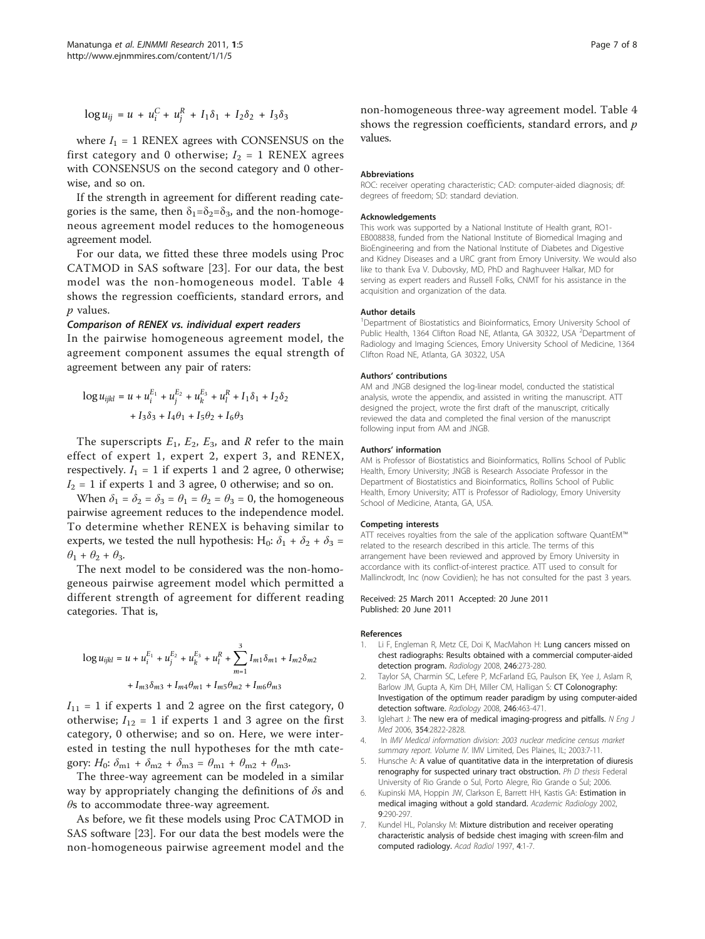<span id="page-6-0"></span>
$$
\log u_{ij} = u + u_i^C + u_j^R + I_1 \delta_1 + I_2 \delta_2 + I_3 \delta_3
$$

where  $I_1 = 1$  RENEX agrees with CONSENSUS on the first category and 0 otherwise;  $I_2 = 1$  RENEX agrees with CONSENSUS on the second category and 0 otherwise, and so on.

If the strength in agreement for different reading categories is the same, then  $\delta_1 = \delta_2 = \delta_3$ , and the non-homogeneous agreement model reduces to the homogeneous agreement model.

For our data, we fitted these three models using Proc CATMOD in SAS software [[23](#page-7-0)]. For our data, the best model was the non-homogeneous model. Table [4](#page-5-0) shows the regression coefficients, standard errors, and p values.

#### Comparison of RENEX vs. individual expert readers

In the pairwise homogeneous agreement model, the agreement component assumes the equal strength of agreement between any pair of raters:

$$
\log u_{ijkl} = u + u_i^{E_1} + u_j^{E_2} + u_k^{E_3} + u_l^{R} + I_1 \delta_1 + I_2 \delta_2
$$
  
+  $I_3 \delta_3 + I_4 \theta_1 + I_5 \theta_2 + I_6 \theta_3$ 

The superscripts  $E_1$ ,  $E_2$ ,  $E_3$ , and R refer to the main effect of expert 1, expert 2, expert 3, and RENEX, respectively.  $I_1 = 1$  if experts 1 and 2 agree, 0 otherwise;  $I_2 = 1$  if experts 1 and 3 agree, 0 otherwise; and so on.

When  $\delta_1 = \delta_2 = \delta_3 = \theta_1 = \theta_2 = \theta_3 = 0$ , the homogeneous pairwise agreement reduces to the independence model. To determine whether RENEX is behaving similar to experts, we tested the null hypothesis: H<sub>0</sub>:  $\delta_1 + \delta_2 + \delta_3 =$  $\theta_1 + \theta_2 + \theta_3$ .

The next model to be considered was the non-homogeneous pairwise agreement model which permitted a different strength of agreement for different reading categories. That is,

$$
\log u_{ijkl} = u + u_i^{E_1} + u_j^{E_2} + u_k^{E_3} + u_l^{R} + \sum_{m=1}^{3} I_{m1} \delta_{m1} + I_{m2} \delta_{m2}
$$

$$
+ I_{m3} \delta_{m3} + I_{m4} \theta_{m1} + I_{m5} \theta_{m2} + I_{m6} \theta_{m3}
$$

 $I_{11} = 1$  if experts 1 and 2 agree on the first category, 0 otherwise;  $I_{12} = 1$  if experts 1 and 3 agree on the first category, 0 otherwise; and so on. Here, we were interested in testing the null hypotheses for the mth category:  $H_0$ :  $\delta_{m1} + \delta_{m2} + \delta_{m3} = \theta_{m1} + \theta_{m2} + \theta_{m3}$ .

The three-way agreement can be modeled in a similar way by appropriately changing the definitions of  $\delta s$  and  $\theta$ s to accommodate three-way agreement.

As before, we fit these models using Proc CATMOD in SAS software [[23](#page-7-0)]. For our data the best models were the non-homogeneous pairwise agreement model and the

non-homogeneous three-way agreement model. Table [4](#page-5-0) shows the regression coefficients, standard errors, and  $p$ values.

#### Abbreviations

ROC: receiver operating characteristic; CAD: computer-aided diagnosis; df: degrees of freedom; SD: standard deviation.

#### Acknowledgements

This work was supported by a National Institute of Health grant, RO1- EB008838, funded from the National Institute of Biomedical Imaging and BioEngineering and from the National Institute of Diabetes and Digestive and Kidney Diseases and a URC grant from Emory University. We would also like to thank Eva V. Dubovsky, MD, PhD and Raghuveer Halkar, MD for serving as expert readers and Russell Folks, CNMT for his assistance in the acquisition and organization of the data.

#### Author details

<sup>1</sup>Department of Biostatistics and Bioinformatics, Emory University School of Public Health, 1364 Clifton Road NE, Atlanta, GA 30322, USA <sup>2</sup>Department of Radiology and Imaging Sciences, Emory University School of Medicine, 1364 Clifton Road NE, Atlanta, GA 30322, USA

#### Authors' contributions

AM and JNGB designed the log-linear model, conducted the statistical analysis, wrote the appendix, and assisted in writing the manuscript. ATT designed the project, wrote the first draft of the manuscript, critically reviewed the data and completed the final version of the manuscript following input from AM and JNGB.

#### Authors' information

AM is Professor of Biostatistics and Bioinformatics, Rollins School of Public Health, Emory University; JNGB is Research Associate Professor in the Department of Biostatistics and Bioinformatics, Rollins School of Public Health, Emory University; ATT is Professor of Radiology, Emory University School of Medicine, Atanta, GA, USA.

#### Competing interests

ATT receives royalties from the sale of the application software QuantEM™ related to the research described in this article. The terms of this arrangement have been reviewed and approved by Emory University in accordance with its conflict-of-interest practice. ATT used to consult for Mallinckrodt, Inc (now Covidien); he has not consulted for the past 3 years.

#### Received: 25 March 2011 Accepted: 20 June 2011 Published: 20 June 2011

#### References

- Li F, Engleman R, Metz CE, Doi K, MacMahon H: [Lung cancers missed on](http://www.ncbi.nlm.nih.gov/pubmed/18096539?dopt=Abstract) [chest radiographs: Results obtained with a commercial computer-aided](http://www.ncbi.nlm.nih.gov/pubmed/18096539?dopt=Abstract) [detection program.](http://www.ncbi.nlm.nih.gov/pubmed/18096539?dopt=Abstract) Radiology 2008, 246:273-280.
- 2. Taylor SA, Charmin SC, Lefere P, McFarland EG, Paulson EK, Yee J, Aslam R, Barlow JM, Gupta A, Kim DH, Miller CM, Halligan S: [CT Colonography:](http://www.ncbi.nlm.nih.gov/pubmed/18094263?dopt=Abstract) [Investigation of the optimum reader paradigm by using computer-aided](http://www.ncbi.nlm.nih.gov/pubmed/18094263?dopt=Abstract) [detection software.](http://www.ncbi.nlm.nih.gov/pubmed/18094263?dopt=Abstract) Radiology 2008, 246:463-471.
- 3. Iglehart J: The new era of medical imaging-progress and pitfalls.  $N$  Eng J Med 2006, 354:2822-2828.
- 4. In IMV Medical information division: 2003 nuclear medicine census market summary report. Volume IV. IMV Limited, Des Plaines, IL; 2003:7-11.
- 5. Hunsche A: A value of quantitative data in the interpretation of diuresis renography for suspected urinary tract obstruction. Ph D thesis Federal University of Rio Grande o Sul, Porto Alegre, Rio Grande o Sul; 2006.
- 6. Kupinski MA, Hoppin JW, Clarkson E, Barrett HH, Kastis GA: [Estimation in](http://www.ncbi.nlm.nih.gov/pubmed/11887945?dopt=Abstract) [medical imaging without a gold standard.](http://www.ncbi.nlm.nih.gov/pubmed/11887945?dopt=Abstract) Academic Radiology 2002, 9:290-297.
- 7. Kundel HL, Polansky M: [Mixture distribution and receiver operating](http://www.ncbi.nlm.nih.gov/pubmed/9040863?dopt=Abstract) [characteristic analysis of bedside chest imaging with screen-film and](http://www.ncbi.nlm.nih.gov/pubmed/9040863?dopt=Abstract) [computed radiology.](http://www.ncbi.nlm.nih.gov/pubmed/9040863?dopt=Abstract) Acad Radiol 1997, 4:1-7.